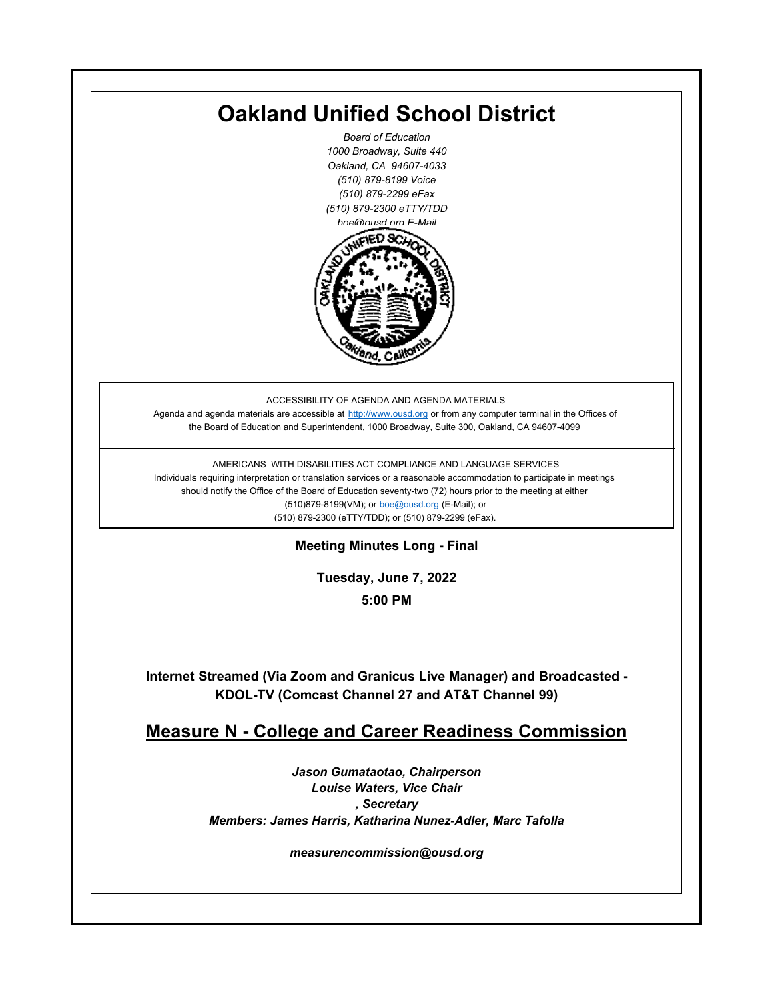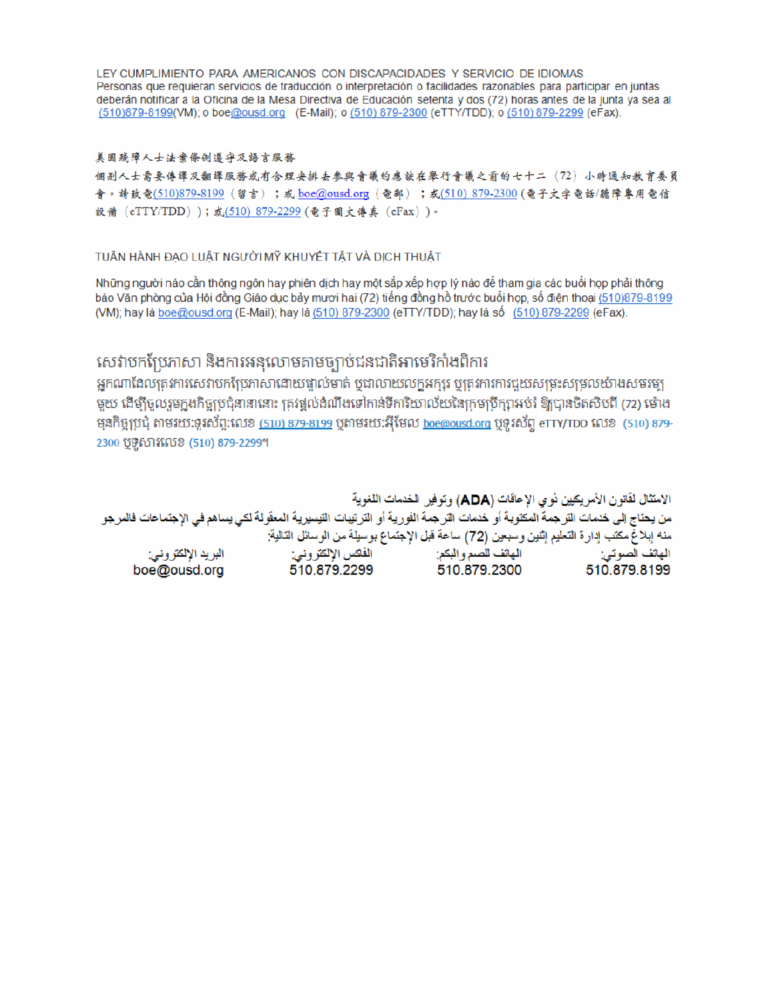LEY CUMPLIMIENTO PARA AMERICANOS CON DISCAPACIDADES Y SERVICIO DE IDIOMAS Personas que requieran servicios de traducción o interpretación o facilidades razonables para participar en juntas deberán notificar a la Oficina de la Mesa Directiva de Educación setenta y dos (72) horas antes de la junta ya sea al (510)879-8199(VM); o boe@ousd.org (E-Mail); o (510) 879-2300 (eTTY/TDD); o (510) 879-2299 (eFax).

#### 美国残障人士法案條例遵守及語言服務

個别人士需要傳譯及翻譯服務或有合理安排去參與會議的應該在舉行會議之前的七十二 (72) 小時通知教育委員 會。請致電(510)879-8199(留言);或 boe@ousd.org (電郵) ;或(510) 879-2300 (電子文字電話/聽障專用電信 設備 (eTTY/TDD));或(510) 879-2299 (電子圖文傳真 (eFax))。

#### TUÂN HÀNH ĐẠO LUẬT NGƯỜI MỸ KHUYẾT TẤT VÀ DỊCH THUẬT

Những người nào cần thông ngôn hay phiên dịch hay một sắp xếp hợp lý nào để tham gia các buổi họp phải thông báo Văn phòng của Hội đồng Giáo dục bảy mươi hai (72) tiếng đồng hồ trước buổi họp, số điện thoại (510)879-8199 (VM); hay là boe@ousd.org (E-Mail); hay là (510) 879-2300 (eTTY/TDD); hay là số (510) 879-2299 (eFax).

## សេវាបកប្រែភាសា និងការអនុលោមតាមច្បាប់ជនជាតិអាមេរិកាំងពិការ

អកណាដែលតេវការសេវាបកប្រែភាសាដោយផ្ទាល់មាត់ ឬជាលាយលក្ខអក្សរ ឬត្រូវការការជួយសម្រះសម្រលយ៉ាងសមរម្យ មយ ដើម្បីចលរមកងកិច្ចប្រជុំនានានោះ ត្រូវផ្តល់ដំណឹងទៅកាន់ទីការិយាល័យនៃក្រមប្រឹក្សាអប់រំ ឱ្យបានចិតសិបពី (72) ម៉ោង ម្មនកិច្ចប្រជុំ តាមរយៈទូរស័ព្ទ:លេខ (<u>510) 879-8199</u> បុតាមរយៈអ៊ីមែល <u>boe@ousd.org</u> បុទ្**រ**ស័ព្ទ eTTY/TDD លេខ (510) 879-2300 ប៊ូទ្មិសារលេខ (510) 879-2299។

الامتثال لقانون الأمريكيين نو ي الإعاقات (ADA) وتوفير الخدمات اللغوية من يحتاج إلى خدمات التر جمة المكتوبة أو خدمات التر جمة الفورية أو الترتيبات التيسيرية المعفّولة لكي يساهم في الإجتماعات فالمرجو منه إبلاغ مكتب إدارة التعليم إثنين وسبعين (72) ساعة قبل الإجتماع بوسيلة من الوسائل التالية: البريد الإلكتروني: 510.879.2299 boe@ousd.org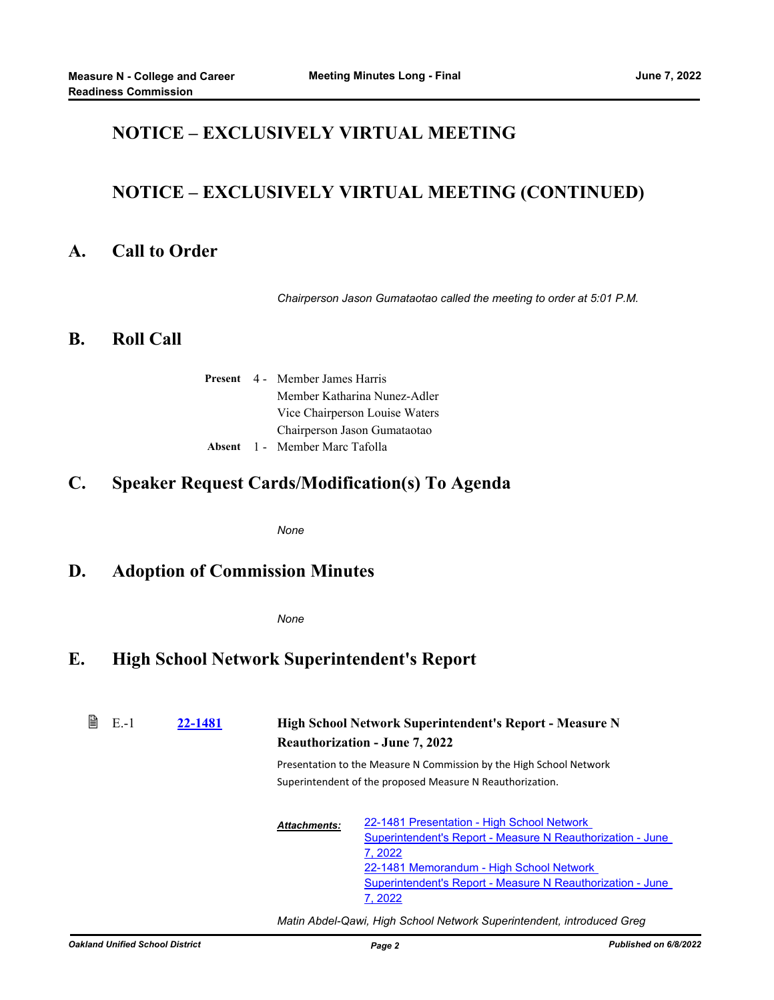### **NOTICE – EXCLUSIVELY VIRTUAL MEETING**

## **NOTICE – EXCLUSIVELY VIRTUAL MEETING (CONTINUED)**

#### **A. Call to Order**

*Chairperson Jason Gumataotao called the meeting to order at 5:01 P.M.*

#### **B. Roll Call**

|  | <b>Present</b> 4 Member James Harris  |
|--|---------------------------------------|
|  | Member Katharina Nunez-Adler          |
|  | Vice Chairperson Louise Waters        |
|  | Chairperson Jason Gumataotao          |
|  | <b>Absent</b> 1 - Member Marc Tafolla |

#### **C. Speaker Request Cards/Modification(s) To Agenda**

*None*

#### **D. Adoption of Commission Minutes**

*None*

### **E. High School Network Superintendent's Report**

| B | $E - 1$ | 22-1481 |                     | High School Network Superintendent's Report - Measure N<br><b>Reauthorization - June 7, 2022</b>                                                                                                                                        |
|---|---------|---------|---------------------|-----------------------------------------------------------------------------------------------------------------------------------------------------------------------------------------------------------------------------------------|
|   |         |         |                     | Presentation to the Measure N Commission by the High School Network<br>Superintendent of the proposed Measure N Reauthorization.                                                                                                        |
|   |         |         | <b>Attachments:</b> | 22-1481 Presentation - High School Network<br>Superintendent's Report - Measure N Reauthorization - June<br>7, 2022<br>22-1481 Memorandum - High School Network<br>Superintendent's Report - Measure N Reauthorization - June<br>7.2022 |

*Matin Abdel-Qawi, High School Network Superintendent, introduced Greg*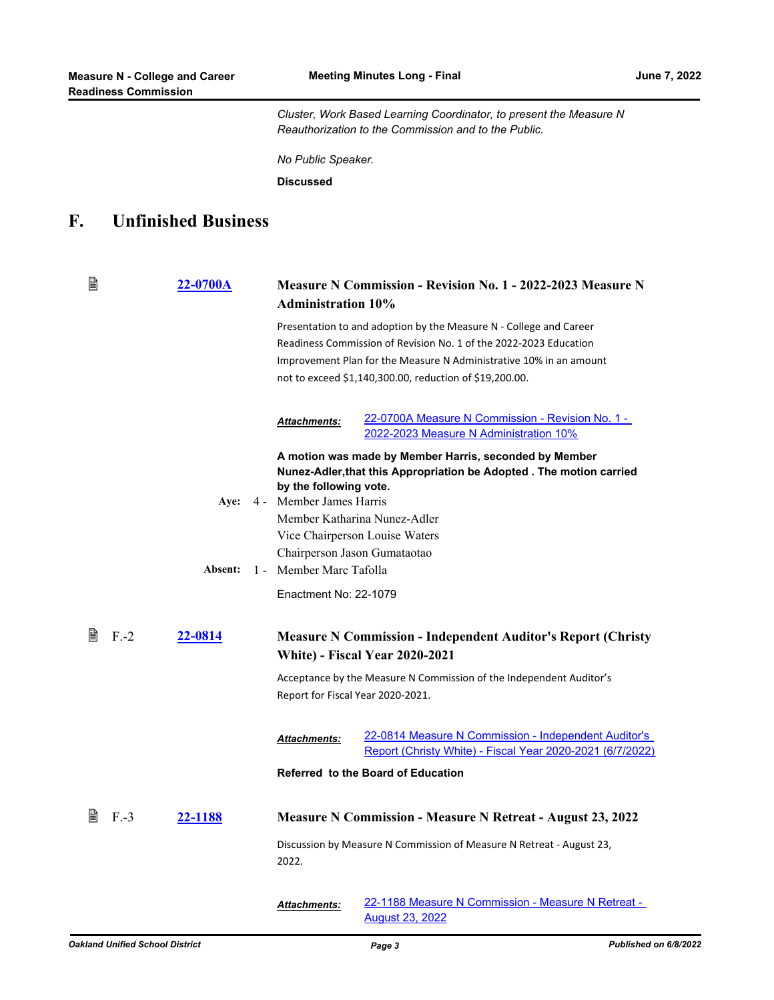*Cluster, Work Based Learning Coordinator, to present the Measure N Reauthorization to the Commission and to the Public.*

*No Public Speaker.*

**Discussed**

# **F. Unfinished Business**

| B            | 22-0700A        | <b>Administration 10%</b>                                                                                    | <b>Measure N Commission - Revision No. 1 - 2022-2023 Measure N</b>                                                                                                                                                                                                       |
|--------------|-----------------|--------------------------------------------------------------------------------------------------------------|--------------------------------------------------------------------------------------------------------------------------------------------------------------------------------------------------------------------------------------------------------------------------|
|              |                 |                                                                                                              | Presentation to and adoption by the Measure N - College and Career<br>Readiness Commission of Revision No. 1 of the 2022-2023 Education<br>Improvement Plan for the Measure N Administrative 10% in an amount<br>not to exceed \$1,140,300.00, reduction of \$19,200.00. |
|              |                 | <b>Attachments:</b>                                                                                          | 22-0700A Measure N Commission - Revision No. 1 -<br>2022-2023 Measure N Administration 10%                                                                                                                                                                               |
|              | Aye:<br>Absent: | by the following vote.<br>4 - Member James Harris<br>Chairperson Jason Gumataotao<br>1 - Member Marc Tafolla | A motion was made by Member Harris, seconded by Member<br>Nunez-Adler, that this Appropriation be Adopted. The motion carried<br>Member Katharina Nunez-Adler<br>Vice Chairperson Louise Waters                                                                          |
|              |                 | Enactment No: 22-1079                                                                                        |                                                                                                                                                                                                                                                                          |
| 閶<br>$F - 2$ | 22-0814         | Report for Fiscal Year 2020-2021.                                                                            | <b>Measure N Commission - Independent Auditor's Report (Christy</b><br><b>White) - Fiscal Year 2020-2021</b><br>Acceptance by the Measure N Commission of the Independent Auditor's                                                                                      |
|              |                 | <b>Attachments:</b>                                                                                          | 22-0814 Measure N Commission - Independent Auditor's<br>Report (Christy White) - Fiscal Year 2020-2021 (6/7/2022)<br>Referred to the Board of Education                                                                                                                  |
| 閶<br>$F-3$   | 22-1188         | 2022.                                                                                                        | <b>Measure N Commission - Measure N Retreat - August 23, 2022</b><br>Discussion by Measure N Commission of Measure N Retreat - August 23,                                                                                                                                |
|              |                 | <b>Attachments:</b>                                                                                          | 22-1188 Measure N Commission - Measure N Retreat -<br><b>August 23, 2022</b>                                                                                                                                                                                             |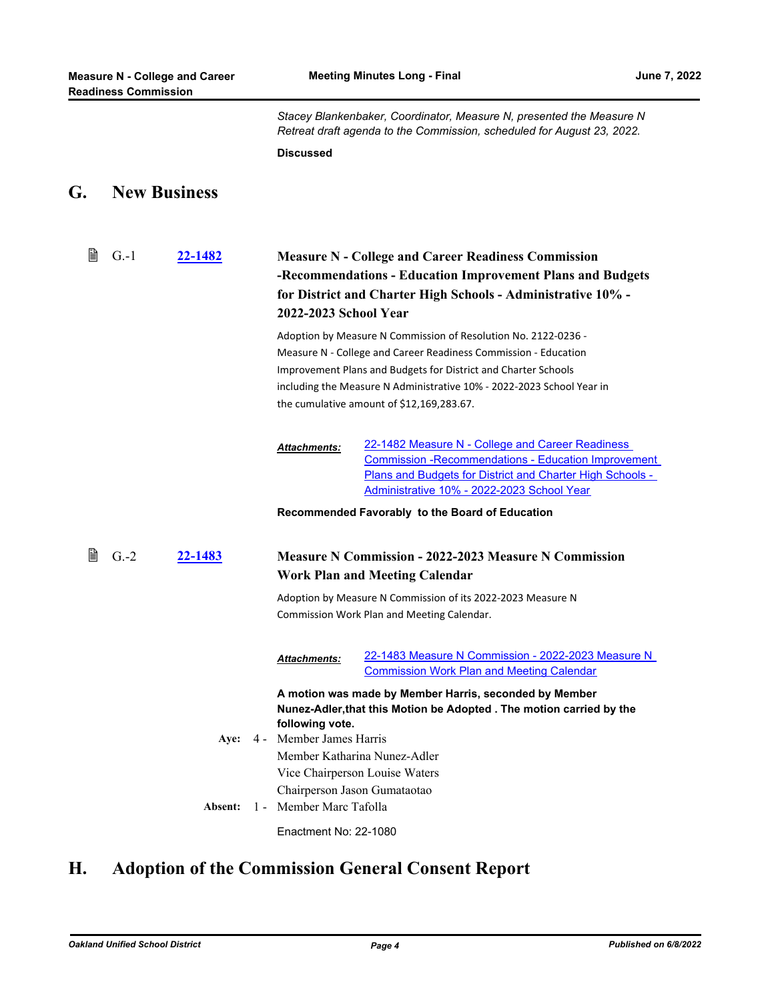|    | <b>Readiness Commission</b> |                     |                                            |                                                                                                                                                                                                                                                                                                                           |
|----|-----------------------------|---------------------|--------------------------------------------|---------------------------------------------------------------------------------------------------------------------------------------------------------------------------------------------------------------------------------------------------------------------------------------------------------------------------|
|    |                             |                     |                                            | Stacey Blankenbaker, Coordinator, Measure N, presented the Measure N<br>Retreat draft agenda to the Commission, scheduled for August 23, 2022.                                                                                                                                                                            |
|    |                             |                     | <b>Discussed</b>                           |                                                                                                                                                                                                                                                                                                                           |
| G. |                             | <b>New Business</b> |                                            |                                                                                                                                                                                                                                                                                                                           |
| ₿  | $G - 1$                     | 22-1482             | 2022-2023 School Year                      | <b>Measure N - College and Career Readiness Commission</b><br>-Recommendations - Education Improvement Plans and Budgets<br>for District and Charter High Schools - Administrative 10% -                                                                                                                                  |
|    |                             |                     |                                            | Adoption by Measure N Commission of Resolution No. 2122-0236 -<br>Measure N - College and Career Readiness Commission - Education<br>Improvement Plans and Budgets for District and Charter Schools<br>including the Measure N Administrative 10% - 2022-2023 School Year in<br>the cumulative amount of \$12,169,283.67. |
|    |                             |                     | Attachments:                               | 22-1482 Measure N - College and Career Readiness<br><b>Commission - Recommendations - Education Improvement</b><br>Plans and Budgets for District and Charter High Schools -<br>Administrative 10% - 2022-2023 School Year                                                                                                |
|    |                             |                     |                                            | Recommended Favorably to the Board of Education                                                                                                                                                                                                                                                                           |
| 閶  | $G.-2$                      | 22-1483             |                                            | <b>Measure N Commission - 2022-2023 Measure N Commission</b><br><b>Work Plan and Meeting Calendar</b>                                                                                                                                                                                                                     |
|    |                             |                     |                                            | Adoption by Measure N Commission of its 2022-2023 Measure N<br>Commission Work Plan and Meeting Calendar.                                                                                                                                                                                                                 |
|    |                             |                     | Attachments:                               | 22-1483 Measure N Commission - 2022-2023 Measure N<br><b>Commission Work Plan and Meeting Calendar</b>                                                                                                                                                                                                                    |
|    |                             | Aye:                | following vote.<br>4 - Member James Harris | A motion was made by Member Harris, seconded by Member<br>Nunez-Adler, that this Motion be Adopted . The motion carried by the<br>Member Katharina Nunez-Adler<br>Vice Chairperson Louise Waters                                                                                                                          |
|    |                             | Absent:             | 1 - Member Marc Tafolla                    | Chairperson Jason Gumataotao                                                                                                                                                                                                                                                                                              |
|    |                             |                     | Enactment No: 22-1080                      |                                                                                                                                                                                                                                                                                                                           |

# **H. Adoption of the Commission General Consent Report**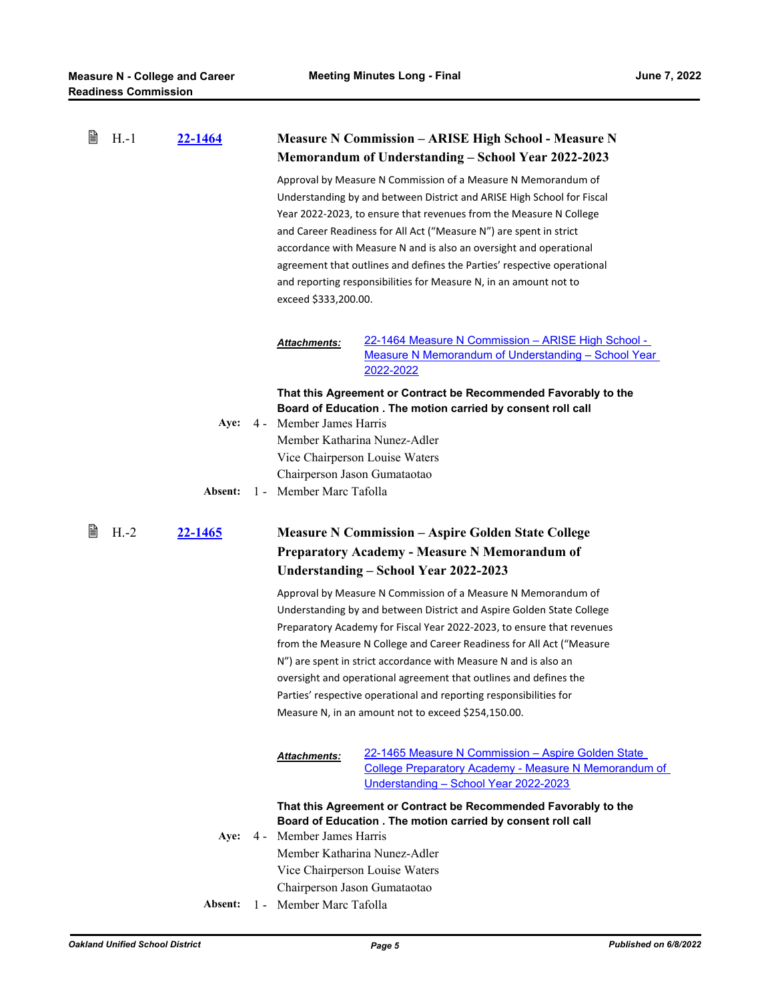| B | $H.-1$ | <u>22-1464</u> |       |                                                         | <b>Measure N Commission - ARISE High School - Measure N</b><br>Memorandum of Understanding - School Year 2022-2023                                                                                                                                                                                                                                                                                                                                                                                                                                                                                                                                                                                                                                                                  |
|---|--------|----------------|-------|---------------------------------------------------------|-------------------------------------------------------------------------------------------------------------------------------------------------------------------------------------------------------------------------------------------------------------------------------------------------------------------------------------------------------------------------------------------------------------------------------------------------------------------------------------------------------------------------------------------------------------------------------------------------------------------------------------------------------------------------------------------------------------------------------------------------------------------------------------|
|   |        |                |       | exceed \$333,200.00.                                    | Approval by Measure N Commission of a Measure N Memorandum of<br>Understanding by and between District and ARISE High School for Fiscal<br>Year 2022-2023, to ensure that revenues from the Measure N College<br>and Career Readiness for All Act ("Measure N") are spent in strict<br>accordance with Measure N and is also an oversight and operational<br>agreement that outlines and defines the Parties' respective operational<br>and reporting responsibilities for Measure N, in an amount not to                                                                                                                                                                                                                                                                           |
|   |        |                |       | Attachments:                                            | <u> 22-1464 Measure N Commission – ARISE High School -</u>                                                                                                                                                                                                                                                                                                                                                                                                                                                                                                                                                                                                                                                                                                                          |
|   |        |                |       |                                                         | Measure N Memorandum of Understanding - School Year                                                                                                                                                                                                                                                                                                                                                                                                                                                                                                                                                                                                                                                                                                                                 |
|   |        |                |       |                                                         | 2022-2022                                                                                                                                                                                                                                                                                                                                                                                                                                                                                                                                                                                                                                                                                                                                                                           |
|   |        | Aye:           | 4 -   | Member James Harris                                     | That this Agreement or Contract be Recommended Favorably to the<br>Board of Education . The motion carried by consent roll call<br>Member Katharina Nunez-Adler                                                                                                                                                                                                                                                                                                                                                                                                                                                                                                                                                                                                                     |
|   |        |                |       |                                                         | Vice Chairperson Louise Waters                                                                                                                                                                                                                                                                                                                                                                                                                                                                                                                                                                                                                                                                                                                                                      |
|   |        |                |       | Chairperson Jason Gumataotao                            |                                                                                                                                                                                                                                                                                                                                                                                                                                                                                                                                                                                                                                                                                                                                                                                     |
|   |        | Absent:        | $1 -$ | Member Marc Tafolla                                     |                                                                                                                                                                                                                                                                                                                                                                                                                                                                                                                                                                                                                                                                                                                                                                                     |
| 閶 | $H.-2$ | <b>22-1465</b> |       |                                                         | <b>Measure N Commission – Aspire Golden State College</b><br><b>Preparatory Academy - Measure N Memorandum of</b><br>Understanding – School Year 2022-2023<br>Approval by Measure N Commission of a Measure N Memorandum of<br>Understanding by and between District and Aspire Golden State College<br>Preparatory Academy for Fiscal Year 2022-2023, to ensure that revenues<br>from the Measure N College and Career Readiness for All Act ("Measure<br>N") are spent in strict accordance with Measure N and is also an<br>oversight and operational agreement that outlines and defines the<br>Parties' respective operational and reporting responsibilities for<br>Measure N, in an amount not to exceed \$254,150.00.<br>22-1465 Measure N Commission - Aspire Golden State |
|   |        |                |       | Attachments:                                            |                                                                                                                                                                                                                                                                                                                                                                                                                                                                                                                                                                                                                                                                                                                                                                                     |
|   |        |                |       |                                                         | College Preparatory Academy - Measure N Memorandum of<br>Understanding - School Year 2022-2023<br>That this Agreement or Contract be Recommended Favorably to the                                                                                                                                                                                                                                                                                                                                                                                                                                                                                                                                                                                                                   |
|   |        |                |       |                                                         | Board of Education . The motion carried by consent roll call                                                                                                                                                                                                                                                                                                                                                                                                                                                                                                                                                                                                                                                                                                                        |
|   |        | Aye:           |       | 4 - Member James Harris                                 |                                                                                                                                                                                                                                                                                                                                                                                                                                                                                                                                                                                                                                                                                                                                                                                     |
|   |        |                |       |                                                         | Member Katharina Nunez-Adler                                                                                                                                                                                                                                                                                                                                                                                                                                                                                                                                                                                                                                                                                                                                                        |
|   |        |                |       |                                                         | Vice Chairperson Louise Waters                                                                                                                                                                                                                                                                                                                                                                                                                                                                                                                                                                                                                                                                                                                                                      |
|   |        | <b>Absent:</b> |       | Chairperson Jason Gumataotao<br>1 - Member Marc Tafolla |                                                                                                                                                                                                                                                                                                                                                                                                                                                                                                                                                                                                                                                                                                                                                                                     |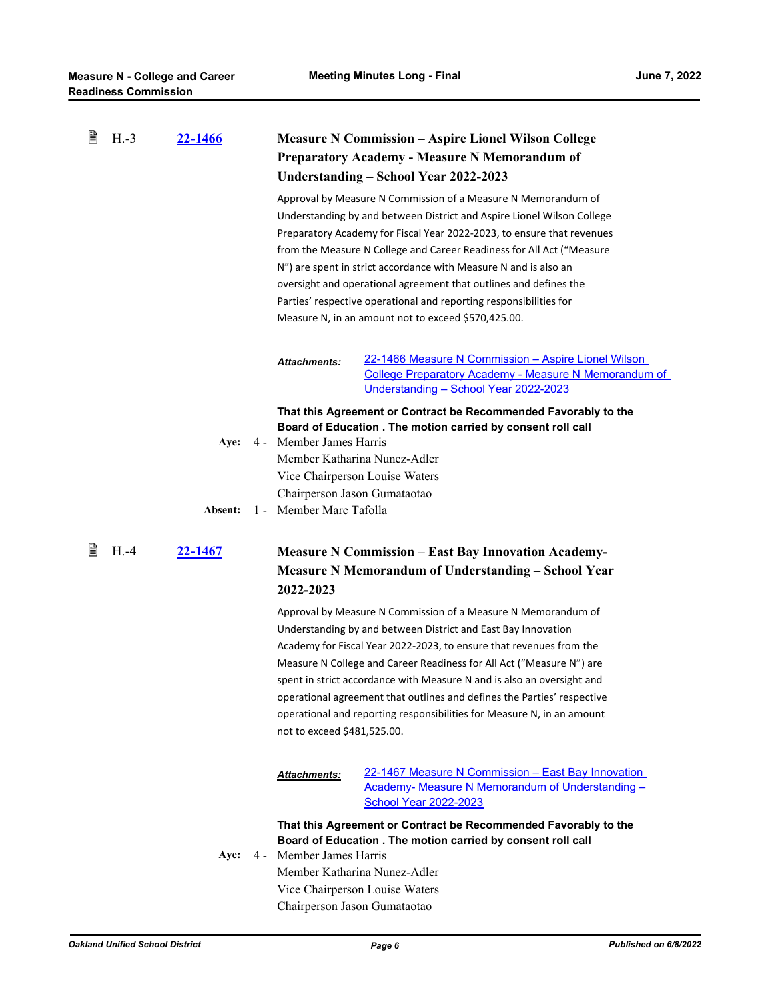| B | $H.-3$ | 22-1466 |       |                             | <b>Measure N Commission - Aspire Lionel Wilson College</b>                                                                                                                                |
|---|--------|---------|-------|-----------------------------|-------------------------------------------------------------------------------------------------------------------------------------------------------------------------------------------|
|   |        |         |       |                             | <b>Preparatory Academy - Measure N Memorandum of</b>                                                                                                                                      |
|   |        |         |       |                             | Understanding - School Year 2022-2023                                                                                                                                                     |
|   |        |         |       |                             | Approval by Measure N Commission of a Measure N Memorandum of                                                                                                                             |
|   |        |         |       |                             | Understanding by and between District and Aspire Lionel Wilson College                                                                                                                    |
|   |        |         |       |                             | Preparatory Academy for Fiscal Year 2022-2023, to ensure that revenues                                                                                                                    |
|   |        |         |       |                             | from the Measure N College and Career Readiness for All Act ("Measure                                                                                                                     |
|   |        |         |       |                             | N") are spent in strict accordance with Measure N and is also an                                                                                                                          |
|   |        |         |       |                             | oversight and operational agreement that outlines and defines the                                                                                                                         |
|   |        |         |       |                             |                                                                                                                                                                                           |
|   |        |         |       |                             | Parties' respective operational and reporting responsibilities for                                                                                                                        |
|   |        |         |       |                             | Measure N, in an amount not to exceed \$570,425.00.                                                                                                                                       |
|   |        |         |       |                             | 22-1466 Measure N Commission - Aspire Lionel Wilson                                                                                                                                       |
|   |        |         |       | Attachments:                | College Preparatory Academy - Measure N Memorandum of                                                                                                                                     |
|   |        |         |       |                             | Understanding - School Year 2022-2023                                                                                                                                                     |
|   |        |         |       |                             | That this Agreement or Contract be Recommended Favorably to the                                                                                                                           |
|   |        |         |       |                             | Board of Education . The motion carried by consent roll call                                                                                                                              |
|   |        | Aye:    | 4 -   | Member James Harris         |                                                                                                                                                                                           |
|   |        |         |       |                             | Member Katharina Nunez-Adler                                                                                                                                                              |
|   |        |         |       |                             | Vice Chairperson Louise Waters                                                                                                                                                            |
|   |        |         |       |                             | Chairperson Jason Gumataotao                                                                                                                                                              |
|   |        | Absent: | $1 -$ | Member Marc Tafolla         |                                                                                                                                                                                           |
| B | $H.-4$ | 22-1467 |       | 2022-2023                   | <b>Measure N Commission - East Bay Innovation Academy-</b><br><b>Measure N Memorandum of Understanding - School Year</b><br>Approval by Measure N Commission of a Measure N Memorandum of |
|   |        |         |       |                             | Understanding by and between District and East Bay Innovation                                                                                                                             |
|   |        |         |       |                             |                                                                                                                                                                                           |
|   |        |         |       |                             | Academy for Fiscal Year 2022-2023, to ensure that revenues from the                                                                                                                       |
|   |        |         |       |                             | Measure N College and Career Readiness for All Act ("Measure N") are                                                                                                                      |
|   |        |         |       |                             | spent in strict accordance with Measure N and is also an oversight and                                                                                                                    |
|   |        |         |       |                             | operational agreement that outlines and defines the Parties' respective                                                                                                                   |
|   |        |         |       |                             | operational and reporting responsibilities for Measure N, in an amount                                                                                                                    |
|   |        |         |       | not to exceed \$481,525.00. |                                                                                                                                                                                           |
|   |        |         |       | Attachments:                | 22-1467 Measure N Commission - East Bay Innovation<br>Academy- Measure N Memorandum of Understanding -<br><b>School Year 2022-2023</b>                                                    |
|   |        | Aye:    | $4 -$ | Member James Harris         | That this Agreement or Contract be Recommended Favorably to the<br>Board of Education . The motion carried by consent roll call                                                           |
|   |        |         |       |                             | Member Katharina Nunez-Adler                                                                                                                                                              |
|   |        |         |       |                             | Vice Chairperson Louise Waters<br>Chairperson Jason Gumataotao                                                                                                                            |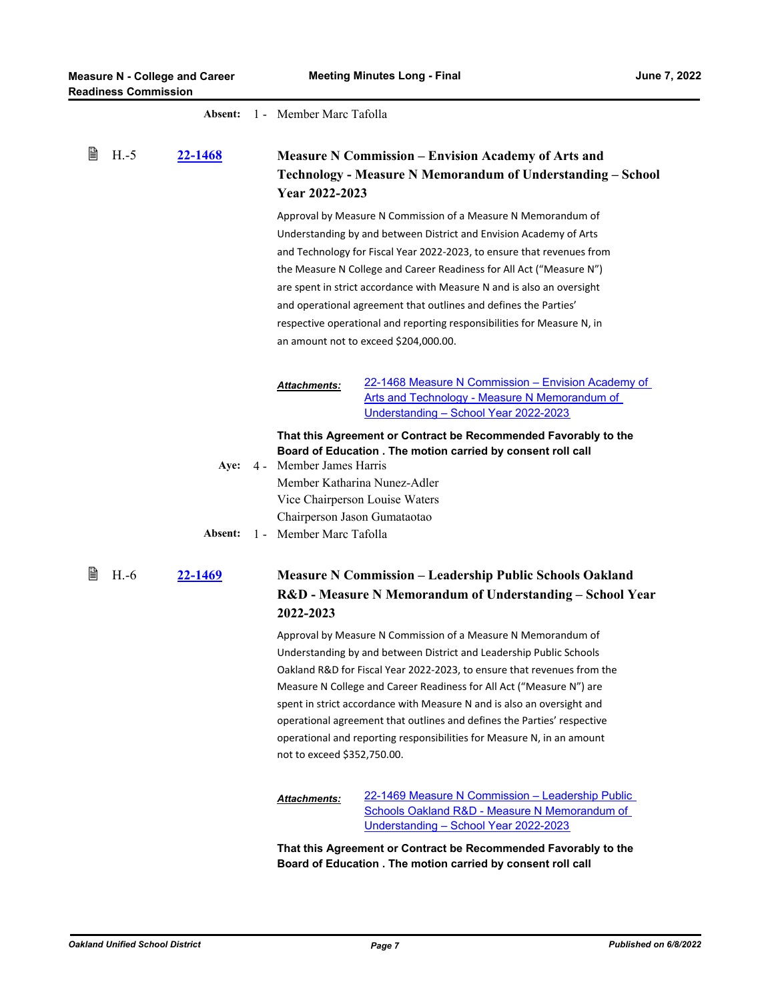|   |        | Absent:        | 1 - Member Marc Tafolla                                                                   |                                                                                                                                                                                                                                                                                                                                                                                                                                                                                                                                                         |
|---|--------|----------------|-------------------------------------------------------------------------------------------|---------------------------------------------------------------------------------------------------------------------------------------------------------------------------------------------------------------------------------------------------------------------------------------------------------------------------------------------------------------------------------------------------------------------------------------------------------------------------------------------------------------------------------------------------------|
| 閶 | $H.-5$ | <u>22-1468</u> | Year 2022-2023                                                                            | <b>Measure N Commission – Envision Academy of Arts and</b><br>Technology - Measure N Memorandum of Understanding - School                                                                                                                                                                                                                                                                                                                                                                                                                               |
|   |        |                |                                                                                           | Approval by Measure N Commission of a Measure N Memorandum of<br>Understanding by and between District and Envision Academy of Arts<br>and Technology for Fiscal Year 2022-2023, to ensure that revenues from<br>the Measure N College and Career Readiness for All Act ("Measure N")<br>are spent in strict accordance with Measure N and is also an oversight<br>and operational agreement that outlines and defines the Parties'<br>respective operational and reporting responsibilities for Measure N, in<br>an amount not to exceed \$204,000.00. |
|   |        |                | <u> Attachments:</u>                                                                      | 22-1468 Measure N Commission – Envision Academy of<br>Arts and Technology - Measure N Memorandum of<br>Understanding - School Year 2022-2023                                                                                                                                                                                                                                                                                                                                                                                                            |
|   |        | Aye:           | 4 - Member James Harris<br>Member Katharina Nunez-Adler<br>Vice Chairperson Louise Waters | That this Agreement or Contract be Recommended Favorably to the<br>Board of Education . The motion carried by consent roll call                                                                                                                                                                                                                                                                                                                                                                                                                         |
|   |        | Absent:        | Chairperson Jason Gumataotao<br>1 - Member Marc Tafolla                                   |                                                                                                                                                                                                                                                                                                                                                                                                                                                                                                                                                         |
| 閶 | $H.-6$ | 22-1469        | 2022-2023                                                                                 | <b>Measure N Commission – Leadership Public Schools Oakland</b><br>R&D - Measure N Memorandum of Understanding - School Year                                                                                                                                                                                                                                                                                                                                                                                                                            |
|   |        |                | not to exceed \$352,750.00.                                                               | Approval by Measure N Commission of a Measure N Memorandum of<br>Understanding by and between District and Leadership Public Schools<br>Oakland R&D for Fiscal Year 2022-2023, to ensure that revenues from the<br>Measure N College and Career Readiness for All Act ("Measure N") are<br>spent in strict accordance with Measure N and is also an oversight and<br>operational agreement that outlines and defines the Parties' respective<br>operational and reporting responsibilities for Measure N, in an amount                                  |
|   |        |                | Attachments:                                                                              | 22-1469 Measure N Commission - Leadership Public<br><b>Schools Oakland R&amp;D - Measure N Memorandum of</b><br>Understanding - School Year 2022-2023                                                                                                                                                                                                                                                                                                                                                                                                   |

**That this Agreement or Contract be Recommended Favorably to the Board of Education . The motion carried by consent roll call**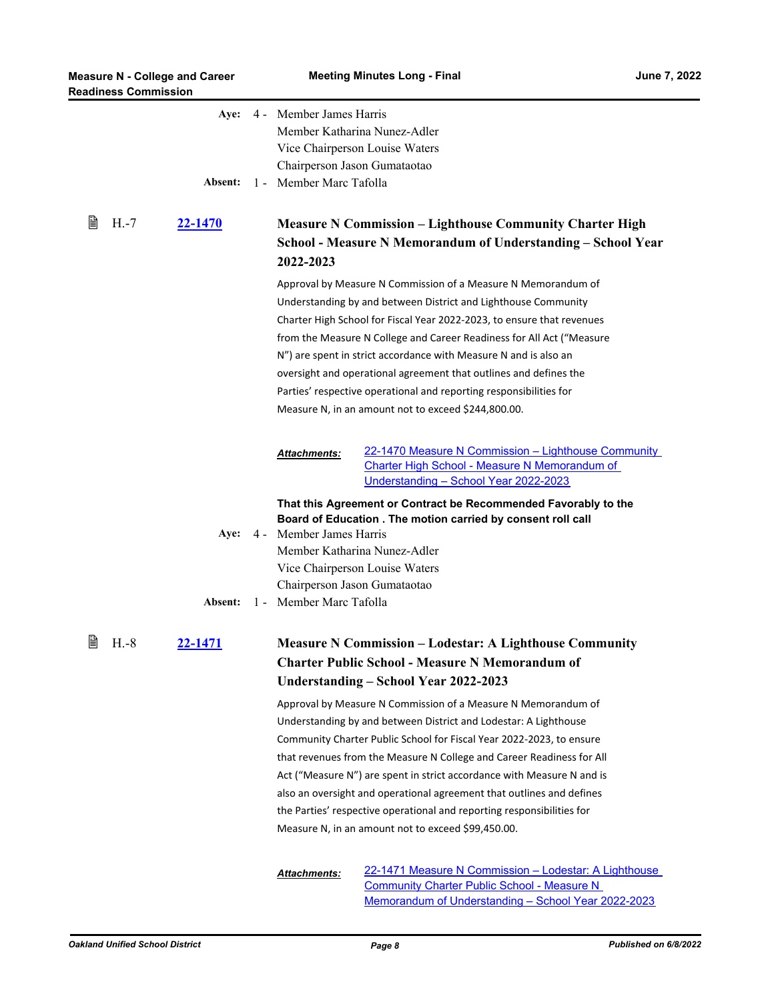| <b>Readiness Commission</b> | <b>Measure N - College and Career</b> |       | <b>Meeting Minutes Long - Final</b><br><b>June 7, 2022</b>                              |                                                                                                                                                                                                           |  |
|-----------------------------|---------------------------------------|-------|-----------------------------------------------------------------------------------------|-----------------------------------------------------------------------------------------------------------------------------------------------------------------------------------------------------------|--|
|                             | Absent:                               |       | Aye: 4 - Member James Harris<br>Chairperson Jason Gumataotao<br>1 - Member Marc Tafolla | Member Katharina Nunez-Adler<br>Vice Chairperson Louise Waters                                                                                                                                            |  |
| 閶<br>$H.-7$                 | 22-1470                               |       | 2022-2023                                                                               | <b>Measure N Commission - Lighthouse Community Charter High</b><br>School - Measure N Memorandum of Understanding - School Year                                                                           |  |
|                             |                                       |       |                                                                                         | Approval by Measure N Commission of a Measure N Memorandum of<br>Understanding by and between District and Lighthouse Community<br>Charter High School for Fiscal Year 2022-2023, to ensure that revenues |  |
|                             |                                       |       |                                                                                         | from the Measure N College and Career Readiness for All Act ("Measure<br>N") are spent in strict accordance with Measure N and is also an                                                                 |  |
|                             |                                       |       |                                                                                         | oversight and operational agreement that outlines and defines the<br>Parties' respective operational and reporting responsibilities for<br>Measure N, in an amount not to exceed \$244,800.00.            |  |
|                             |                                       |       | <b>Attachments:</b>                                                                     | 22-1470 Measure N Commission - Lighthouse Community<br>Charter High School - Measure N Memorandum of<br>Understanding - School Year 2022-2023                                                             |  |
|                             |                                       |       |                                                                                         | That this Agreement or Contract be Recommended Favorably to the<br>Board of Education . The motion carried by consent roll call                                                                           |  |
|                             | Aye:                                  | $4 -$ | Member James Harris<br>Chairperson Jason Gumataotao                                     | Member Katharina Nunez-Adler<br>Vice Chairperson Louise Waters                                                                                                                                            |  |
|                             | Absent:                               |       | 1 - Member Marc Tafolla                                                                 |                                                                                                                                                                                                           |  |
| ë<br>$H.-8$                 | <u>22-1471</u>                        |       |                                                                                         | <b>Measure N Commission - Lodestar: A Lighthouse Community</b><br><b>Charter Public School - Measure N Memorandum of</b><br>Understanding – School Year 2022-2023                                         |  |
|                             |                                       |       |                                                                                         | Approval by Measure N Commission of a Measure N Memorandum of<br>Understanding by and between District and Lodestar: A Lighthouse                                                                         |  |
|                             |                                       |       |                                                                                         | Community Charter Public School for Fiscal Year 2022-2023, to ensure<br>that revenues from the Measure N College and Career Readiness for All                                                             |  |
|                             |                                       |       |                                                                                         | Act ("Measure N") are spent in strict accordance with Measure N and is<br>also an oversight and operational agreement that outlines and defines                                                           |  |
|                             |                                       |       |                                                                                         | the Parties' respective operational and reporting responsibilities for<br>Measure N, in an amount not to exceed \$99,450.00.                                                                              |  |
|                             |                                       |       | Attachments:                                                                            | 22-1471 Measure N Commission - Lodestar: A Lighthouse<br><b>Community Charter Public School - Measure N</b><br>Memorandum of Understanding - School Year 2022-2023                                        |  |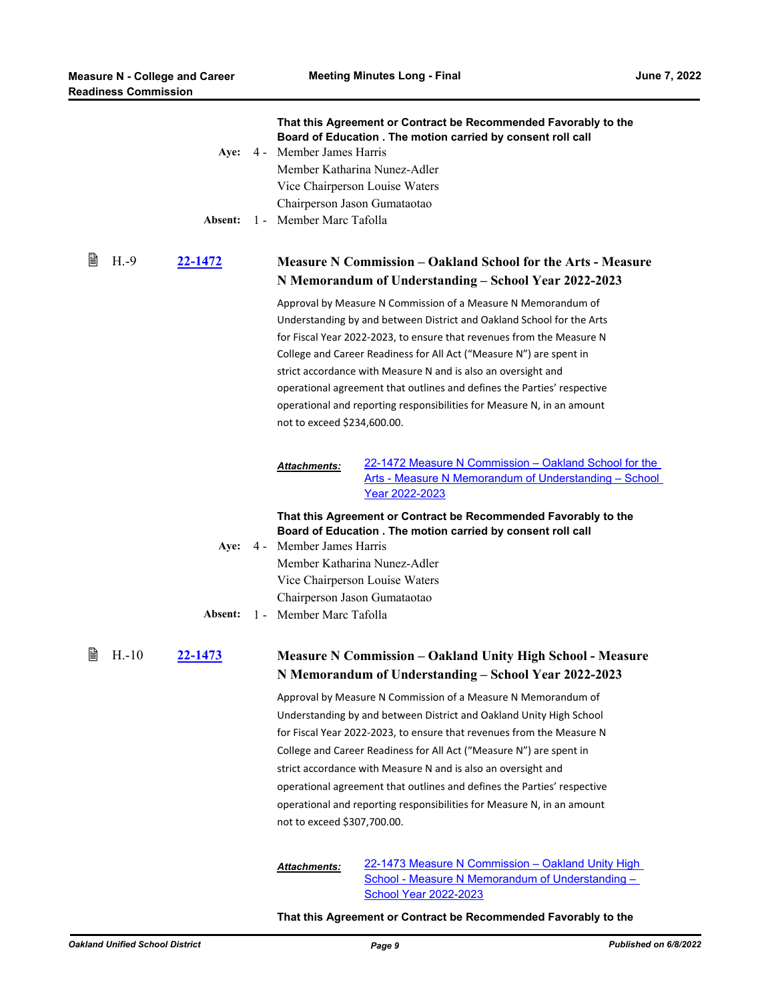|   |         | Absent:        | That this Agreement or Contract be Recommended Favorably to the<br>Board of Education . The motion carried by consent roll call<br>Aye: 4 - Member James Harris<br>Member Katharina Nunez-Adler<br>Vice Chairperson Louise Waters<br>Chairperson Jason Gumataotao<br>1 - Member Marc Tafolla                                                                                                                                                                                                                                                |
|---|---------|----------------|---------------------------------------------------------------------------------------------------------------------------------------------------------------------------------------------------------------------------------------------------------------------------------------------------------------------------------------------------------------------------------------------------------------------------------------------------------------------------------------------------------------------------------------------|
| 閆 | $H.-9$  | <u>22-1472</u> | <b>Measure N Commission – Oakland School for the Arts - Measure</b><br>N Memorandum of Understanding – School Year 2022-2023                                                                                                                                                                                                                                                                                                                                                                                                                |
|   |         |                | Approval by Measure N Commission of a Measure N Memorandum of<br>Understanding by and between District and Oakland School for the Arts<br>for Fiscal Year 2022-2023, to ensure that revenues from the Measure N<br>College and Career Readiness for All Act ("Measure N") are spent in<br>strict accordance with Measure N and is also an oversight and<br>operational agreement that outlines and defines the Parties' respective<br>operational and reporting responsibilities for Measure N, in an amount<br>not to exceed \$234,600.00. |
|   |         |                | 22-1472 Measure N Commission - Oakland School for the<br><b>Attachments:</b><br>Arts - Measure N Memorandum of Understanding - School<br>Year 2022-2023                                                                                                                                                                                                                                                                                                                                                                                     |
|   |         |                | That this Agreement or Contract be Recommended Favorably to the<br>Board of Education . The motion carried by consent roll call<br>Aye: 4 - Member James Harris<br>Member Katharina Nunez-Adler<br>Vice Chairperson Louise Waters                                                                                                                                                                                                                                                                                                           |
|   |         | Absent:        | Chairperson Jason Gumataotao<br>1 - Member Marc Tafolla                                                                                                                                                                                                                                                                                                                                                                                                                                                                                     |
| 閶 | $H.-10$ | 22-1473        | <b>Measure N Commission – Oakland Unity High School - Measure</b><br>N Memorandum of Understanding - School Year 2022-2023                                                                                                                                                                                                                                                                                                                                                                                                                  |
|   |         |                | Approval by Measure N Commission of a Measure N Memorandum of<br>Understanding by and between District and Oakland Unity High School<br>for Fiscal Year 2022-2023, to ensure that revenues from the Measure N<br>College and Career Readiness for All Act ("Measure N") are spent in                                                                                                                                                                                                                                                        |
|   |         |                | strict accordance with Measure N and is also an oversight and                                                                                                                                                                                                                                                                                                                                                                                                                                                                               |
|   |         |                | operational agreement that outlines and defines the Parties' respective<br>operational and reporting responsibilities for Measure N, in an amount                                                                                                                                                                                                                                                                                                                                                                                           |
|   |         |                | not to exceed \$307,700.00.                                                                                                                                                                                                                                                                                                                                                                                                                                                                                                                 |
|   |         |                | 22-1473 Measure N Commission - Oakland Unity High<br>Attachments:<br>School - Measure N Memorandum of Understanding -<br><b>School Year 2022-2023</b>                                                                                                                                                                                                                                                                                                                                                                                       |

#### **That this Agreement or Contract be Recommended Favorably to the**